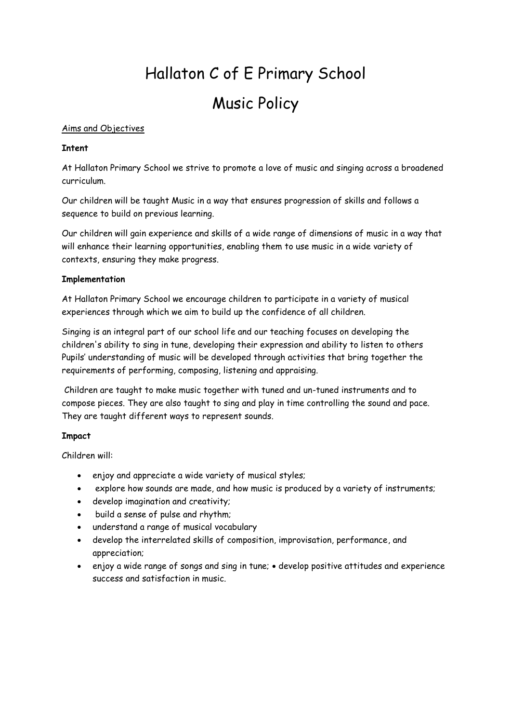# Hallaton C of E Primary School Music Policy

#### Aims and Objectives

#### **Intent**

At Hallaton Primary School we strive to promote a love of music and singing across a broadened curriculum.

Our children will be taught Music in a way that ensures progression of skills and follows a sequence to build on previous learning.

Our children will gain experience and skills of a wide range of dimensions of music in a way that will enhance their learning opportunities, enabling them to use music in a wide variety of contexts, ensuring they make progress.

#### **Implementation**

At Hallaton Primary School we encourage children to participate in a variety of musical experiences through which we aim to build up the confidence of all children.

Singing is an integral part of our school life and our teaching focuses on developing the children's ability to sing in tune, developing their expression and ability to listen to others Pupils' understanding of music will be developed through activities that bring together the requirements of performing, composing, listening and appraising.

Children are taught to make music together with tuned and un-tuned instruments and to compose pieces. They are also taught to sing and play in time controlling the sound and pace. They are taught different ways to represent sounds.

## **Impact**

Children will:

- enjoy and appreciate a wide variety of musical styles;
- explore how sounds are made, and how music is produced by a variety of instruments;
- develop imagination and creativity;
- build a sense of pulse and rhythm;
- understand a range of musical vocabulary
- develop the interrelated skills of composition, improvisation, performance, and appreciation;
- enjoy a wide range of songs and sing in tune; develop positive attitudes and experience success and satisfaction in music.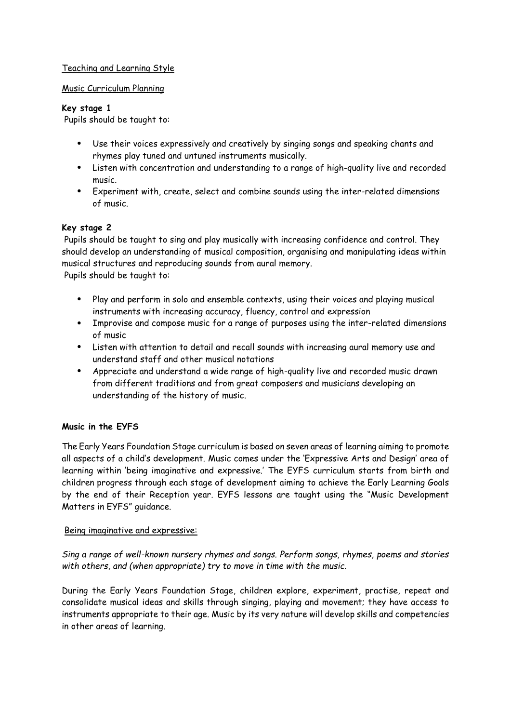## Teaching and Learning Style

### Music Curriculum Planning

### **Key stage 1**

Pupils should be taught to:

- Use their voices expressively and creatively by singing songs and speaking chants and rhymes play tuned and untuned instruments musically.
- Listen with concentration and understanding to a range of high-quality live and recorded music.
- Experiment with, create, select and combine sounds using the inter-related dimensions of music.

## **Key stage 2**

Pupils should be taught to sing and play musically with increasing confidence and control. They should develop an understanding of musical composition, organising and manipulating ideas within musical structures and reproducing sounds from aural memory.

Pupils should be taught to:

- Play and perform in solo and ensemble contexts, using their voices and playing musical instruments with increasing accuracy, fluency, control and expression
- Improvise and compose music for a range of purposes using the inter-related dimensions of music
- Listen with attention to detail and recall sounds with increasing aural memory use and understand staff and other musical notations
- Appreciate and understand a wide range of high-quality live and recorded music drawn from different traditions and from great composers and musicians developing an understanding of the history of music.

## **Music in the EYFS**

The Early Years Foundation Stage curriculum is based on seven areas of learning aiming to promote all aspects of a child's development. Music comes under the 'Expressive Arts and Design' area of learning within 'being imaginative and expressive.' The EYFS curriculum starts from birth and children progress through each stage of development aiming to achieve the Early Learning Goals by the end of their Reception year. EYFS lessons are taught using the "Music Development Matters in EYFS" guidance.

## Being imaginative and expressive:

*Sing a range of well-known nursery rhymes and songs. Perform songs, rhymes, poems and stories with others, and (when appropriate) try to move in time with the music.*

During the Early Years Foundation Stage, children explore, experiment, practise, repeat and consolidate musical ideas and skills through singing, playing and movement; they have access to instruments appropriate to their age. Music by its very nature will develop skills and competencies in other areas of learning.